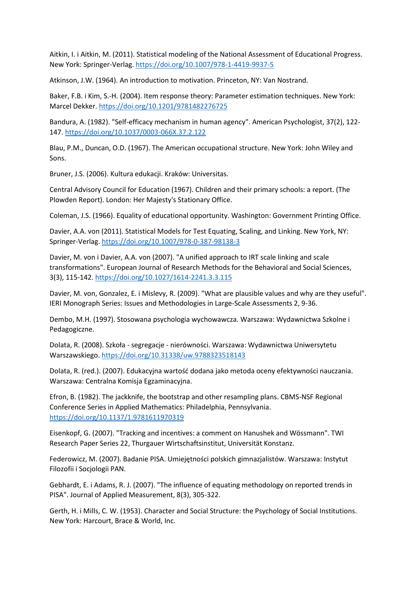Aitkin, I. i Aitkin, M. (2011). Statistical modeling of the National Assessment of Educational Progress. New York: Springer-Verlag. <https://doi.org/10.1007/978-1-4419-9937-5>

Atkinson, J.W. (1964). An introduction to motivation. Princeton, NY: Van Nostrand.

Baker, F.B. i Kim, S.-H. (2004). Item response theory: Parameter estimation techniques. New York: Marcel Dekker. <https://doi.org/10.1201/9781482276725>

Bandura, A. (1982). "Self-efficacy mechanism in human agency". American Psychologist, 37(2), 122- 147. <https://doi.org/10.1037/0003-066X.37.2.122>

Blau, P.M., Duncan, O.D. (1967). The American occupational structure. New York: John Wiley and Sons.

Bruner, J.S. (2006). Kultura edukacji. Kraków: Universitas.

Central Advisory Council for Education (1967). Children and their primary schools: a report. (The Plowden Report). London: Her Majesty's Stationary Office.

Coleman, J.S. (1966). Equality of educational opportunity. Washington: Government Printing Office.

Davier, A.A. von (2011). Statistical Models for Test Equating, Scaling, and Linking. New York, NY: Springer-Verlag. <https://doi.org/10.1007/978-0-387-98138-3>

Davier, M. von i Davier, A.A. von (2007). "A unified approach to IRT scale linking and scale transformations". European Journal of Research Methods for the Behavioral and Social Sciences, 3(3), 115-142. <https://doi.org/10.1027/1614-2241.3.3.115>

Davier, M. von, Gonzalez, E. i Mislevy, R. (2009). "What are plausible values and why are they useful". IERI Monograph Series: Issues and Methodologies in Large-Scale Assessments 2, 9-36.

Dembo, M.H. (1997). Stosowana psychologia wychowawcza. Warszawa: Wydawnictwa Szkolne i Pedagogiczne.

Dolata, R. (2008). Szkoła - segregacje - nierówności. Warszawa: Wydawnictwa Uniwersytetu Warszawskiego. <https://doi.org/10.31338/uw.9788323518143>

Dolata, R. (red.). (2007). Edukacyjna wartość dodana jako metoda oceny efektywności nauczania. Warszawa: Centralna Komisia Egzaminacyjna.

Efron, B. (1982). The jackknife, the bootstrap and other resampling plans. CBMS-NSF Regional Conference Series in Applied Mathematics: Philadelphia, Pennsylvania. <https://doi.org/10.1137/1.9781611970319>

Eisenkopf, G. (2007). "Tracking and incentives: a comment on Hanushek and Wössmann". TWI Research Paper Series 22, Thurgauer Wirtschaftsinstitut, Universität Konstanz.

Federowicz, M. (2007). Badanie PISA. Umiejętności polskich gimnazjalistów. Warszawa: Instytut Filozofii i Socjologii PAN.

Gebhardt, E. i Adams, R. J. (2007). "The influence of equating methodology on reported trends in PISA". Journal of Applied Measurement, 8(3), 305-322.

Gerth, H. i Mills, C. W. (1953). Character and Social Structure: the Psychology of Social Institutions. New York: Harcourt, Brace & World, Inc.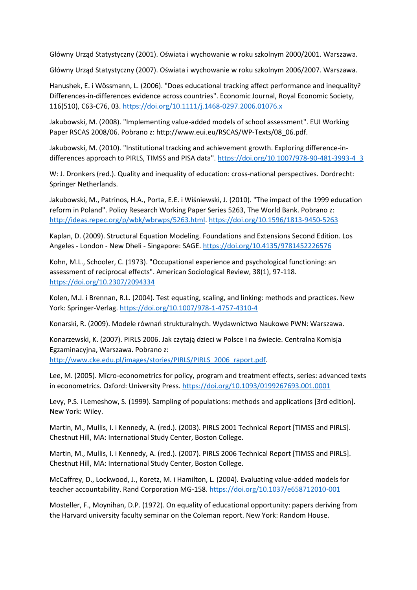Główny Urząd Statystyczny (2001). Oświata i wychowanie w roku szkolnym 2000/2001. Warszawa.

Główny Urząd Statystyczny (2007). Oświata i wychowanie w roku szkolnym 2006/2007. Warszawa.

Hanushek, E. i Wössmann, L. (2006). "Does educational tracking affect performance and inequality? Differences-in-differences evidence across countries". Economic Journal, Royal Economic Society, 116(510), C63-C76, 03. <https://doi.org/10.1111/j.1468-0297.2006.01076.x>

Jakubowski, M. (2008). "Implementing value-added models of school assessment". EUI Working Paper RSCAS 2008/06. Pobrano z: http://www.eui.eu/RSCAS/WP-Texts/08\_06.pdf.

Jakubowski, M. (2010). "Institutional tracking and achievement growth. Exploring difference-indifferences approach to PIRLS, TIMSS and PISA data". [https://doi.org/10.1007/978-90-481-3993-4\\_3](https://doi.org/10.1007/978-90-481-3993-4_3)

W: J. Dronkers (red.). Quality and inequality of education: cross-national perspectives. Dordrecht: Springer Netherlands.

Jakubowski, M., Patrinos, H.A., Porta, E.E. i Wiśniewski, J. (2010). "The impact of the 1999 education reform in Poland". Policy Research Working Paper Series 5263, The World Bank. Pobrano z: [http://ideas.repec.org/p/wbk/wbrwps/5263.html.](http://ideas.repec.org/p/wbk/wbrwps/5263.html) <https://doi.org/10.1596/1813-9450-5263>

Kaplan, D. (2009). Structural Equation Modeling. Foundations and Extensions Second Edition. Los Angeles - London - New Dheli - Singapore: SAGE. <https://doi.org/10.4135/9781452226576>

Kohn, M.L., Schooler, C. (1973). "Occupational experience and psychological functioning: an assessment of reciprocal effects". American Sociological Review, 38(1), 97-118. <https://doi.org/10.2307/2094334>

Kolen, M.J. i Brennan, R.L. (2004). Test equating, scaling, and linking: methods and practices. New York: Springer-Verlag. <https://doi.org/10.1007/978-1-4757-4310-4>

Konarski, R. (2009). Modele równań strukturalnych. Wydawnictwo Naukowe PWN: Warszawa.

Konarzewski, K. (2007). PIRLS 2006. Jak czytają dzieci w Polsce i na świecie. Centralna Komisja Egzaminacyjna, Warszawa. Pobrano z:

[http://www.cke.edu.pl/images/stories/PIRLS/PIRLS\\_2006\\_raport.pdf.](http://www.cke.edu.pl/images/stories/PIRLS/PIRLS_2006_raport.pdf)

Lee, M. (2005). Micro-econometrics for policy, program and treatment effects, series: advanced texts in econometrics. Oxford: University Press. <https://doi.org/10.1093/0199267693.001.0001>

Levy, P.S. i Lemeshow, S. (1999). Sampling of populations: methods and applications [3rd edition]. New York: Wiley.

Martin, M., Mullis, I. i Kennedy, A. (red.). (2003). PIRLS 2001 Technical Report [TIMSS and PIRLS]. Chestnut Hill, MA: International Study Center, Boston College.

Martin, M., Mullis, I. i Kennedy, A. (red.). (2007). PIRLS 2006 Technical Report [TIMSS and PIRLS]. Chestnut Hill, MA: International Study Center, Boston College.

McCaffrey, D., Lockwood, J., Koretz, M. i Hamilton, L. (2004). Evaluating value-added models for teacher accountability. Rand Corporation MG-158. <https://doi.org/10.1037/e658712010-001>

Mosteller, F., Moynihan, D.P. (1972). On equality of educational opportunity: papers deriving from the Harvard university faculty seminar on the Coleman report. New York: Random House.